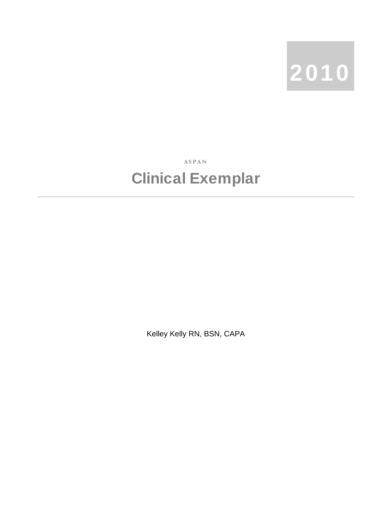

**ASPAN** 

## Clinical Exemplar

Kelley Kelly RN, BSN, CAPA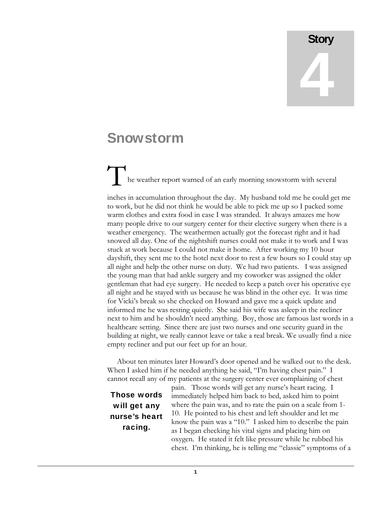## **Story** 4

## Snowstorm

The weather report warned of an early morning snowstorm with several inches in accumulation throughout the day. My husband told me he could get me to work, but he did not think he would be able to pick me up so I packed some

warm clothes and extra food in case I was stranded. It always amazes me how many people drive to our surgery center for their elective surgery when there is a weather emergency. The weathermen actually got the forecast right and it had snowed all day. One of the nightshift nurses could not make it to work and I was stuck at work because I could not make it home. After working my 10 hour dayshift, they sent me to the hotel next door to rest a few hours so I could stay up all night and help the other nurse on duty. We had two patients. I was assigned the young man that had ankle surgery and my coworker was assigned the older gentleman that had eye surgery. He needed to keep a patch over his operative eye all night and he stayed with us because he was blind in the other eye. It was time for Vicki's break so she checked on Howard and gave me a quick update and informed me he was resting quietly. She said his wife was asleep in the recliner next to him and he shouldn't need anything. Boy, those are famous last words in a healthcare setting. Since there are just two nurses and one security guard in the building at night, we really cannot leave or take a real break. We usually find a nice empty recliner and put our feet up for an hour.

 About ten minutes later Howard's door opened and he walked out to the desk. When I asked him if he needed anything he said, "I'm having chest pain." I cannot recall any of my patients at the surgery center ever complaining of chest

Those words will get any nurse's heart racing.

pain. Those words will get any nurse's heart racing. I immediately helped him back to bed, asked him to point where the pain was, and to rate the pain on a scale from 1- 10. He pointed to his chest and left shoulder and let me know the pain was a "10." I asked him to describe the pain as I began checking his vital signs and placing him on oxygen. He stated it felt like pressure while he rubbed his chest. I'm thinking, he is telling me "classic" symptoms of a